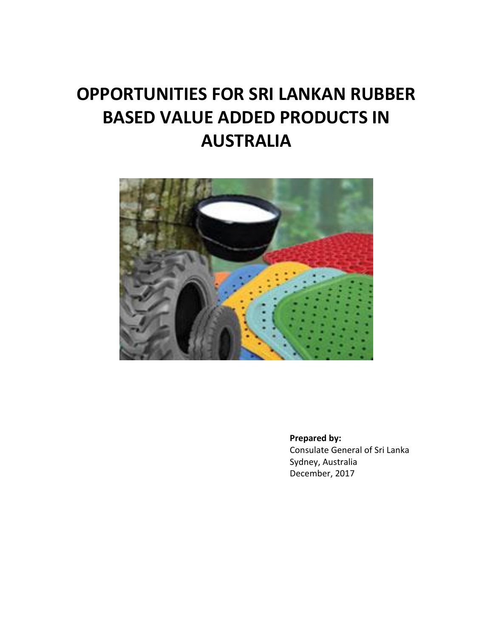# **OPPORTUNITIES FOR SRI LANKAN RUBBER BASED VALUE ADDED PRODUCTS IN AUSTRALIA**



**Prepared by:**

Consulate General of Sri Lanka Sydney, Australia December, 2017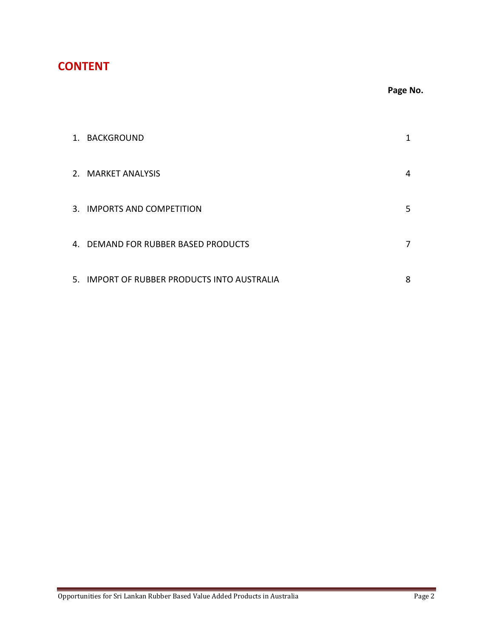## **CONTENT**

### **Page No.**

| 1. BACKGROUND                               | 1 |
|---------------------------------------------|---|
| 2. MARKET ANALYSIS                          | 4 |
| 3. IMPORTS AND COMPETITION                  | 5 |
| 4. DEMAND FOR RUBBER BASED PRODUCTS         | 7 |
| 5. IMPORT OF RUBBER PRODUCTS INTO AUSTRALIA | 8 |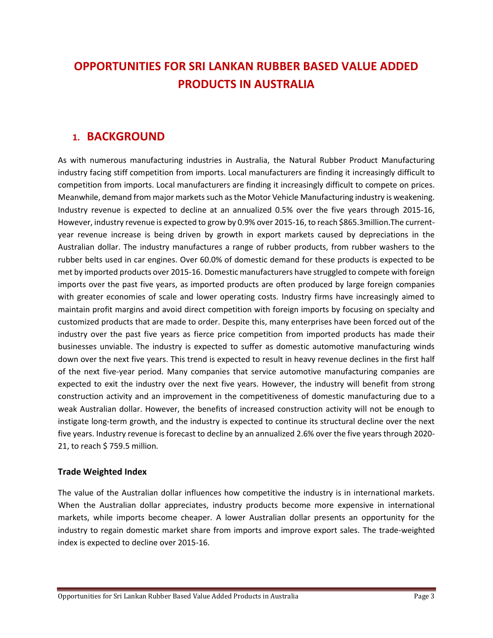## **OPPORTUNITIES FOR SRI LANKAN RUBBER BASED VALUE ADDED PRODUCTS IN AUSTRALIA**

## **1. BACKGROUND**

As with numerous manufacturing industries in Australia, the Natural Rubber Product Manufacturing industry facing stiff competition from imports. Local manufacturers are finding it increasingly difficult to competition from imports. Local manufacturers are finding it increasingly difficult to compete on prices. Meanwhile, demand from major markets such as the Motor Vehicle Manufacturing industry is weakening. Industry revenue is expected to decline at an annualized 0.5% over the five years through 2015-16, However, industry revenue is expected to grow by 0.9% over 2015-16, to reach \$865.3million.The currentyear revenue increase is being driven by growth in export markets caused by depreciations in the Australian dollar. The industry manufactures a range of rubber products, from rubber washers to the rubber belts used in car engines. Over 60.0% of domestic demand for these products is expected to be met by imported products over 2015-16. Domestic manufacturers have struggled to compete with foreign imports over the past five years, as imported products are often produced by large foreign companies with greater economies of scale and lower operating costs. Industry firms have increasingly aimed to maintain profit margins and avoid direct competition with foreign imports by focusing on specialty and customized products that are made to order. Despite this, many enterprises have been forced out of the industry over the past five years as fierce price competition from imported products has made their businesses unviable. The industry is expected to suffer as domestic automotive manufacturing winds down over the next five years. This trend is expected to result in heavy revenue declines in the first half of the next five-year period. Many companies that service automotive manufacturing companies are expected to exit the industry over the next five years. However, the industry will benefit from strong construction activity and an improvement in the competitiveness of domestic manufacturing due to a weak Australian dollar. However, the benefits of increased construction activity will not be enough to instigate long-term growth, and the industry is expected to continue its structural decline over the next five years. Industry revenue is forecast to decline by an annualized 2.6% over the five years through 2020- 21, to reach \$ 759.5 million.

#### **Trade Weighted Index**

The value of the Australian dollar influences how competitive the industry is in international markets. When the Australian dollar appreciates, industry products become more expensive in international markets, while imports become cheaper. A lower Australian dollar presents an opportunity for the industry to regain domestic market share from imports and improve export sales. The trade-weighted index is expected to decline over 2015-16.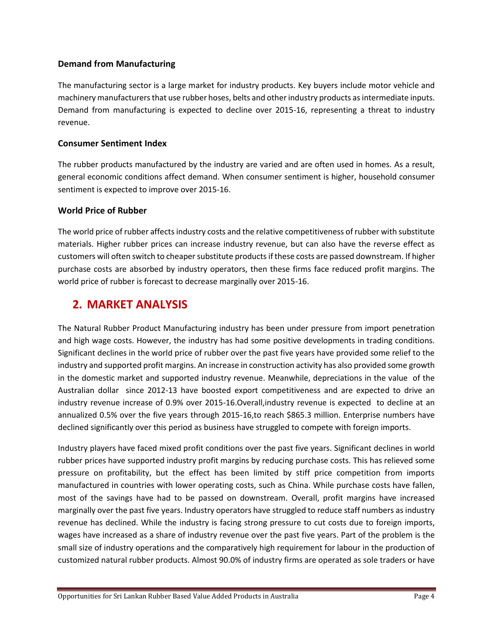#### **Demand from Manufacturing**

The manufacturing sector is a large market for industry products. Key buyers include motor vehicle and machinery manufacturers that use rubber hoses, belts and other industry products as intermediate inputs. Demand from manufacturing is expected to decline over 2015-16, representing a threat to industry revenue.

#### **Consumer Sentiment Index**

The rubber products manufactured by the industry are varied and are often used in homes. As a result, general economic conditions affect demand. When consumer sentiment is higher, household consumer sentiment is expected to improve over 2015-16.

#### **World Price of Rubber**

The world price of rubber affects industry costs and the relative competitiveness of rubber with substitute materials. Higher rubber prices can increase industry revenue, but can also have the reverse effect as customers will often switch to cheaper substitute products if these costs are passed downstream. If higher purchase costs are absorbed by industry operators, then these firms face reduced profit margins. The world price of rubber is forecast to decrease marginally over 2015-16.

## **2. MARKET ANALYSIS**

The Natural Rubber Product Manufacturing industry has been under pressure from import penetration and high wage costs. However, the industry has had some positive developments in trading conditions. Significant declines in the world price of rubber over the past five years have provided some relief to the industry and supported profit margins. An increase in construction activity has also provided some growth in the domestic market and supported industry revenue. Meanwhile, depreciations in the value of the Australian dollar since 2012-13 have boosted export competitiveness and are expected to drive an industry revenue increase of 0.9% over 2015-16.Overall,industry revenue is expected to decline at an annualized 0.5% over the five years through 2015-16,to reach \$865.3 million. Enterprise numbers have declined significantly over this period as business have struggled to compete with foreign imports.

Industry players have faced mixed profit conditions over the past five years. Significant declines in world rubber prices have supported industry profit margins by reducing purchase costs. This has relieved some pressure on profitability, but the effect has been limited by stiff price competition from imports manufactured in countries with lower operating costs, such as China. While purchase costs have fallen, most of the savings have had to be passed on downstream. Overall, profit margins have increased marginally over the past five years. Industry operators have struggled to reduce staff numbers as industry revenue has declined. While the industry is facing strong pressure to cut costs due to foreign imports, wages have increased as a share of industry revenue over the past five years. Part of the problem is the small size of industry operations and the comparatively high requirement for labour in the production of customized natural rubber products. Almost 90.0% of industry firms are operated as sole traders or have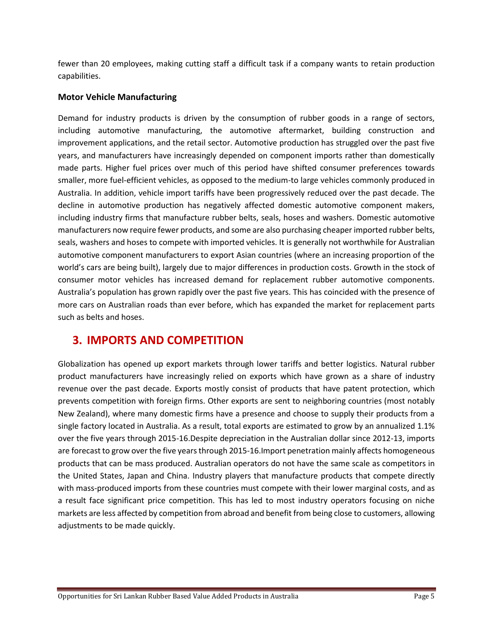fewer than 20 employees, making cutting staff a difficult task if a company wants to retain production capabilities.

#### **Motor Vehicle Manufacturing**

Demand for industry products is driven by the consumption of rubber goods in a range of sectors, including automotive manufacturing, the automotive aftermarket, building construction and improvement applications, and the retail sector. Automotive production has struggled over the past five years, and manufacturers have increasingly depended on component imports rather than domestically made parts. Higher fuel prices over much of this period have shifted consumer preferences towards smaller, more fuel-efficient vehicles, as opposed to the medium-to large vehicles commonly produced in Australia. In addition, vehicle import tariffs have been progressively reduced over the past decade. The decline in automotive production has negatively affected domestic automotive component makers, including industry firms that manufacture rubber belts, seals, hoses and washers. Domestic automotive manufacturers now require fewer products, and some are also purchasing cheaper imported rubber belts, seals, washers and hoses to compete with imported vehicles. It is generally not worthwhile for Australian automotive component manufacturers to export Asian countries (where an increasing proportion of the world's cars are being built), largely due to major differences in production costs. Growth in the stock of consumer motor vehicles has increased demand for replacement rubber automotive components. Australia's population has grown rapidly over the past five years. This has coincided with the presence of more cars on Australian roads than ever before, which has expanded the market for replacement parts such as belts and hoses.

## **3. IMPORTS AND COMPETITION**

Globalization has opened up export markets through lower tariffs and better logistics. Natural rubber product manufacturers have increasingly relied on exports which have grown as a share of industry revenue over the past decade. Exports mostly consist of products that have patent protection, which prevents competition with foreign firms. Other exports are sent to neighboring countries (most notably New Zealand), where many domestic firms have a presence and choose to supply their products from a single factory located in Australia. As a result, total exports are estimated to grow by an annualized 1.1% over the five years through 2015-16.Despite depreciation in the Australian dollar since 2012-13, imports are forecast to grow over the five years through 2015-16.Import penetration mainly affects homogeneous products that can be mass produced. Australian operators do not have the same scale as competitors in the United States, Japan and China. Industry players that manufacture products that compete directly with mass-produced imports from these countries must compete with their lower marginal costs, and as a result face significant price competition. This has led to most industry operators focusing on niche markets are less affected by competition from abroad and benefit from being close to customers, allowing adjustments to be made quickly.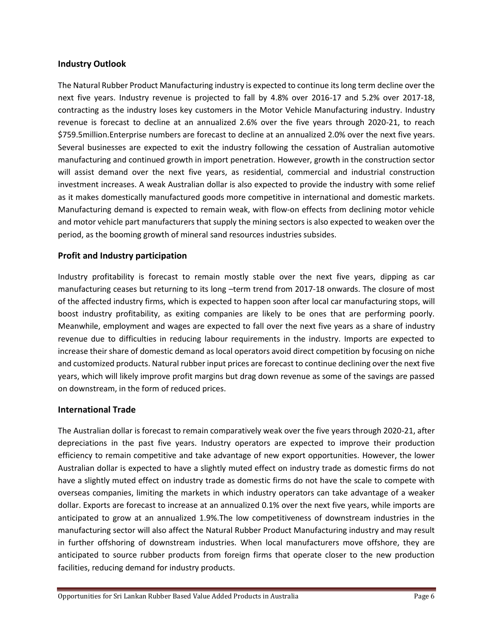#### **Industry Outlook**

The Natural Rubber Product Manufacturing industry is expected to continue its long term decline over the next five years. Industry revenue is projected to fall by 4.8% over 2016-17 and 5.2% over 2017-18, contracting as the industry loses key customers in the Motor Vehicle Manufacturing industry. Industry revenue is forecast to decline at an annualized 2.6% over the five years through 2020-21, to reach \$759.5million.Enterprise numbers are forecast to decline at an annualized 2.0% over the next five years. Several businesses are expected to exit the industry following the cessation of Australian automotive manufacturing and continued growth in import penetration. However, growth in the construction sector will assist demand over the next five years, as residential, commercial and industrial construction investment increases. A weak Australian dollar is also expected to provide the industry with some relief as it makes domestically manufactured goods more competitive in international and domestic markets. Manufacturing demand is expected to remain weak, with flow-on effects from declining motor vehicle and motor vehicle part manufacturers that supply the mining sectors is also expected to weaken over the period, as the booming growth of mineral sand resources industries subsides.

#### **Profit and Industry participation**

Industry profitability is forecast to remain mostly stable over the next five years, dipping as car manufacturing ceases but returning to its long –term trend from 2017-18 onwards. The closure of most of the affected industry firms, which is expected to happen soon after local car manufacturing stops, will boost industry profitability, as exiting companies are likely to be ones that are performing poorly. Meanwhile, employment and wages are expected to fall over the next five years as a share of industry revenue due to difficulties in reducing labour requirements in the industry. Imports are expected to increase their share of domestic demand as local operators avoid direct competition by focusing on niche and customized products. Natural rubber input prices are forecast to continue declining over the next five years, which will likely improve profit margins but drag down revenue as some of the savings are passed on downstream, in the form of reduced prices.

#### **International Trade**

The Australian dollar is forecast to remain comparatively weak over the five years through 2020-21, after depreciations in the past five years. Industry operators are expected to improve their production efficiency to remain competitive and take advantage of new export opportunities. However, the lower Australian dollar is expected to have a slightly muted effect on industry trade as domestic firms do not have a slightly muted effect on industry trade as domestic firms do not have the scale to compete with overseas companies, limiting the markets in which industry operators can take advantage of a weaker dollar. Exports are forecast to increase at an annualized 0.1% over the next five years, while imports are anticipated to grow at an annualized 1.9%.The low competitiveness of downstream industries in the manufacturing sector will also affect the Natural Rubber Product Manufacturing industry and may result in further offshoring of downstream industries. When local manufacturers move offshore, they are anticipated to source rubber products from foreign firms that operate closer to the new production facilities, reducing demand for industry products.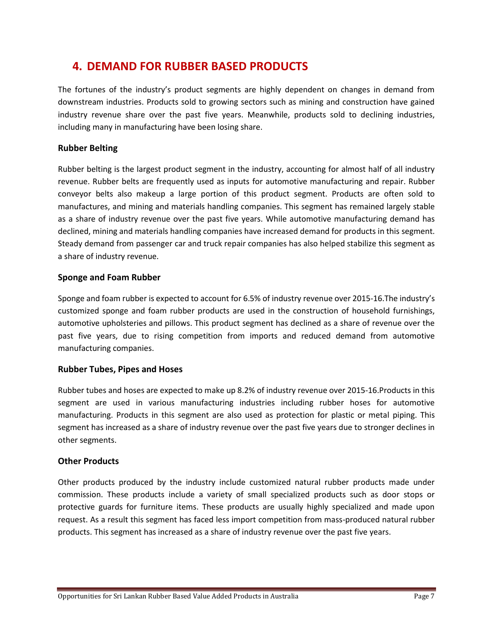## **4. DEMAND FOR RUBBER BASED PRODUCTS**

The fortunes of the industry's product segments are highly dependent on changes in demand from downstream industries. Products sold to growing sectors such as mining and construction have gained industry revenue share over the past five years. Meanwhile, products sold to declining industries, including many in manufacturing have been losing share.

#### **Rubber Belting**

Rubber belting is the largest product segment in the industry, accounting for almost half of all industry revenue. Rubber belts are frequently used as inputs for automotive manufacturing and repair. Rubber conveyor belts also makeup a large portion of this product segment. Products are often sold to manufactures, and mining and materials handling companies. This segment has remained largely stable as a share of industry revenue over the past five years. While automotive manufacturing demand has declined, mining and materials handling companies have increased demand for products in this segment. Steady demand from passenger car and truck repair companies has also helped stabilize this segment as a share of industry revenue.

#### **Sponge and Foam Rubber**

Sponge and foam rubber is expected to account for 6.5% of industry revenue over 2015-16.The industry's customized sponge and foam rubber products are used in the construction of household furnishings, automotive upholsteries and pillows. This product segment has declined as a share of revenue over the past five years, due to rising competition from imports and reduced demand from automotive manufacturing companies.

#### **Rubber Tubes, Pipes and Hoses**

Rubber tubes and hoses are expected to make up 8.2% of industry revenue over 2015-16.Products in this segment are used in various manufacturing industries including rubber hoses for automotive manufacturing. Products in this segment are also used as protection for plastic or metal piping. This segment has increased as a share of industry revenue over the past five years due to stronger declines in other segments.

#### **Other Products**

Other products produced by the industry include customized natural rubber products made under commission. These products include a variety of small specialized products such as door stops or protective guards for furniture items. These products are usually highly specialized and made upon request. As a result this segment has faced less import competition from mass-produced natural rubber products. This segment has increased as a share of industry revenue over the past five years.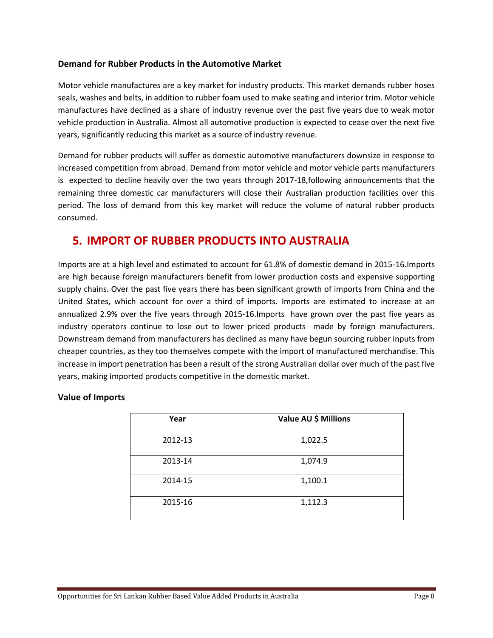#### **Demand for Rubber Products in the Automotive Market**

Motor vehicle manufactures are a key market for industry products. This market demands rubber hoses seals, washes and belts, in addition to rubber foam used to make seating and interior trim. Motor vehicle manufactures have declined as a share of industry revenue over the past five years due to weak motor vehicle production in Australia. Almost all automotive production is expected to cease over the next five years, significantly reducing this market as a source of industry revenue.

Demand for rubber products will suffer as domestic automotive manufacturers downsize in response to increased competition from abroad. Demand from motor vehicle and motor vehicle parts manufacturers is expected to decline heavily over the two years through 2017-18,following announcements that the remaining three domestic car manufacturers will close their Australian production facilities over this period. The loss of demand from this key market will reduce the volume of natural rubber products consumed.

## **5. IMPORT OF RUBBER PRODUCTS INTO AUSTRALIA**

Imports are at a high level and estimated to account for 61.8% of domestic demand in 2015-16.Imports are high because foreign manufacturers benefit from lower production costs and expensive supporting supply chains. Over the past five years there has been significant growth of imports from China and the United States, which account for over a third of imports. Imports are estimated to increase at an annualized 2.9% over the five years through 2015-16.Imports have grown over the past five years as industry operators continue to lose out to lower priced products made by foreign manufacturers. Downstream demand from manufacturers has declined as many have begun sourcing rubber inputs from cheaper countries, as they too themselves compete with the import of manufactured merchandise. This increase in import penetration has been a result of the strong Australian dollar over much of the past five years, making imported products competitive in the domestic market.

#### **Value of Imports**

| Year    | Value AU \$ Millions |
|---------|----------------------|
| 2012-13 | 1,022.5              |
| 2013-14 | 1,074.9              |
| 2014-15 | 1,100.1              |
| 2015-16 | 1,112.3              |